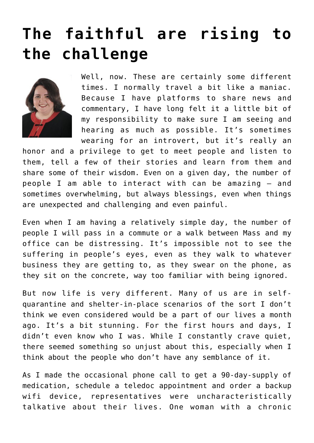## **[The faithful are rising to](https://www.osvnews.com/2020/03/24/the-faithful-are-rising-to-the-challenge/) [the challenge](https://www.osvnews.com/2020/03/24/the-faithful-are-rising-to-the-challenge/)**



Well, now. These are certainly some different times. I normally travel a bit like a maniac. Because I have platforms to share news and commentary, I have long felt it a little bit of my responsibility to make sure I am seeing and hearing as much as possible. It's sometimes wearing for an introvert, but it's really an

honor and a privilege to get to meet people and listen to them, tell a few of their stories and learn from them and share some of their wisdom. Even on a given day, the number of people I am able to interact with can be amazing — and sometimes overwhelming, but always blessings, even when things are unexpected and challenging and even painful.

Even when I am having a relatively simple day, the number of people I will pass in a commute or a walk between Mass and my office can be distressing. It's impossible not to see the suffering in people's eyes, even as they walk to whatever business they are getting to, as they swear on the phone, as they sit on the concrete, way too familiar with being ignored.

But now life is very different. Many of us are in selfquarantine and shelter-in-place scenarios of the sort I don't think we even considered would be a part of our lives a month ago. It's a bit stunning. For the first hours and days, I didn't even know who I was. While I constantly crave quiet, there seemed something so unjust about this, especially when I think about the people who don't have any semblance of it.

As I made the occasional phone call to get a 90-day-supply of medication, schedule a teledoc appointment and order a backup wifi device, representatives were uncharacteristically talkative about their lives. One woman with a chronic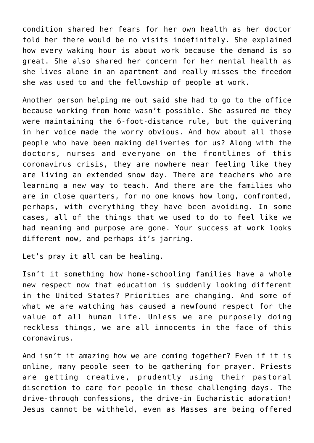condition shared her fears for her own health as her doctor told her there would be no visits indefinitely. She explained how every waking hour is about work because the demand is so great. She also shared her concern for her mental health as she lives alone in an apartment and really misses the freedom she was used to and the fellowship of people at work.

Another person helping me out said she had to go to the office because working from home wasn't possible. She assured me they were maintaining the 6-foot-distance rule, but the quivering in her voice made the worry obvious. And how about all those people who have been making deliveries for us? Along with the doctors, nurses and everyone on the frontlines of this coronavirus crisis, they are nowhere near feeling like they are living an extended snow day. There are teachers who are learning a new way to teach. And there are the families who are in close quarters, for no one knows how long, confronted, perhaps, with everything they have been avoiding. In some cases, all of the things that we used to do to feel like we had meaning and purpose are gone. Your success at work looks different now, and perhaps it's jarring.

Let's pray it all can be healing.

Isn't it something how home-schooling families have a whole new respect now that education is suddenly looking different in the United States? Priorities are changing. And some of what we are watching has caused a newfound respect for the value of all human life. Unless we are purposely doing reckless things, we are all innocents in the face of this coronavirus.

And isn't it amazing how we are coming together? Even if it is online, many people seem to be gathering for prayer. Priests are getting creative, prudently using their pastoral discretion to care for people in these challenging days. The drive-through confessions, the drive-in Eucharistic adoration! Jesus cannot be withheld, even as Masses are being offered